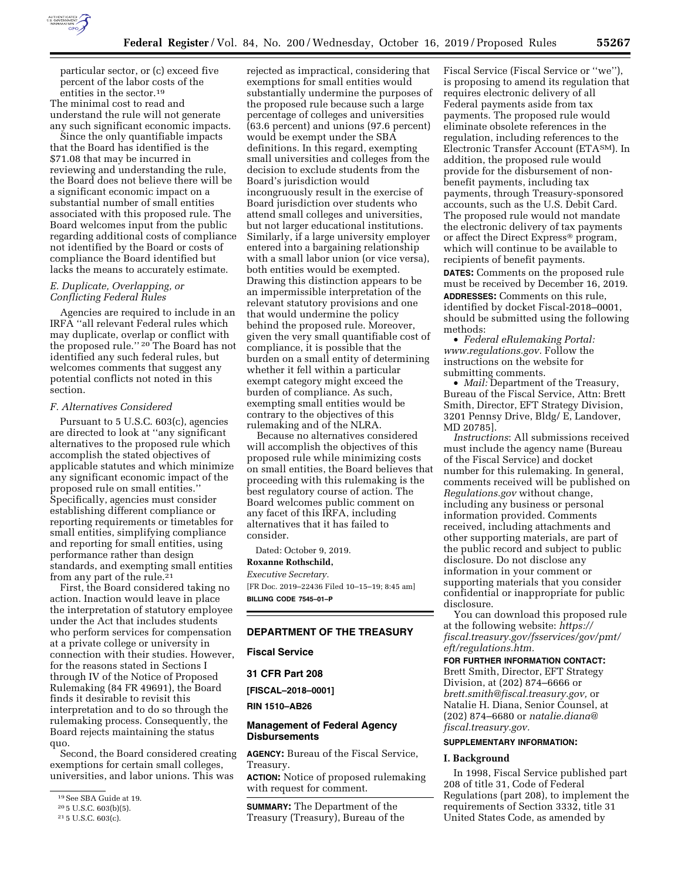

particular sector, or (c) exceed five percent of the labor costs of the entities in the sector.19

The minimal cost to read and understand the rule will not generate any such significant economic impacts.

Since the only quantifiable impacts that the Board has identified is the \$71.08 that may be incurred in reviewing and understanding the rule, the Board does not believe there will be a significant economic impact on a substantial number of small entities associated with this proposed rule. The Board welcomes input from the public regarding additional costs of compliance not identified by the Board or costs of compliance the Board identified but lacks the means to accurately estimate.

# *E. Duplicate, Overlapping, or Conflicting Federal Rules*

Agencies are required to include in an IRFA ''all relevant Federal rules which may duplicate, overlap or conflict with the proposed rule.'' 20 The Board has not identified any such federal rules, but welcomes comments that suggest any potential conflicts not noted in this section.

#### *F. Alternatives Considered*

Pursuant to 5 U.S.C. 603(c), agencies are directed to look at ''any significant alternatives to the proposed rule which accomplish the stated objectives of applicable statutes and which minimize any significant economic impact of the proposed rule on small entities.'' Specifically, agencies must consider establishing different compliance or reporting requirements or timetables for small entities, simplifying compliance and reporting for small entities, using performance rather than design standards, and exempting small entities from any part of the rule.<sup>21</sup>

First, the Board considered taking no action. Inaction would leave in place the interpretation of statutory employee under the Act that includes students who perform services for compensation at a private college or university in connection with their studies. However, for the reasons stated in Sections I through IV of the Notice of Proposed Rulemaking (84 FR 49691), the Board finds it desirable to revisit this interpretation and to do so through the rulemaking process. Consequently, the Board rejects maintaining the status quo.

Second, the Board considered creating exemptions for certain small colleges, universities, and labor unions. This was

rejected as impractical, considering that exemptions for small entities would substantially undermine the purposes of the proposed rule because such a large percentage of colleges and universities (63.6 percent) and unions (97.6 percent) would be exempt under the SBA definitions. In this regard, exempting small universities and colleges from the decision to exclude students from the Board's jurisdiction would incongruously result in the exercise of Board jurisdiction over students who attend small colleges and universities, but not larger educational institutions. Similarly, if a large university employer entered into a bargaining relationship with a small labor union (or vice versa), both entities would be exempted. Drawing this distinction appears to be an impermissible interpretation of the relevant statutory provisions and one that would undermine the policy behind the proposed rule. Moreover, given the very small quantifiable cost of compliance, it is possible that the burden on a small entity of determining whether it fell within a particular exempt category might exceed the burden of compliance. As such, exempting small entities would be contrary to the objectives of this rulemaking and of the NLRA.

Because no alternatives considered will accomplish the objectives of this proposed rule while minimizing costs on small entities, the Board believes that proceeding with this rulemaking is the best regulatory course of action. The Board welcomes public comment on any facet of this IRFA, including alternatives that it has failed to consider.

Dated: October 9, 2019.

**Roxanne Rothschild,**  *Executive Secretary.* 

[FR Doc. 2019–22436 Filed 10–15–19; 8:45 am] **BILLING CODE 7545–01–P** 

#### **DEPARTMENT OF THE TREASURY**

**Fiscal Service** 

# **31 CFR Part 208**

**[FISCAL–2018–0001]** 

**RIN 1510–AB26** 

# **Management of Federal Agency Disbursements**

**AGENCY:** Bureau of the Fiscal Service, Treasury.

**ACTION:** Notice of proposed rulemaking with request for comment.

**SUMMARY:** The Department of the Treasury (Treasury), Bureau of the Fiscal Service (Fiscal Service or ''we''), is proposing to amend its regulation that requires electronic delivery of all Federal payments aside from tax payments. The proposed rule would eliminate obsolete references in the regulation, including references to the Electronic Transfer Account (ETASM). In addition, the proposed rule would provide for the disbursement of nonbenefit payments, including tax payments, through Treasury-sponsored accounts, such as the U.S. Debit Card. The proposed rule would not mandate the electronic delivery of tax payments or affect the Direct Express® program, which will continue to be available to recipients of benefit payments. **DATES:** Comments on the proposed rule must be received by December 16, 2019. **ADDRESSES:** Comments on this rule, identified by docket Fiscal-2018–0001, should be submitted using the following methods:

• *Federal eRulemaking Portal: [www.regulations.gov.](http://www.regulations.gov)* Follow the instructions on the website for submitting comments.

• *Mail:* Department of the Treasury, Bureau of the Fiscal Service, Attn: Brett Smith, Director, EFT Strategy Division, 3201 Pennsy Drive, Bldg/ E, Landover, MD 20785].

*Instructions*: All submissions received must include the agency name (Bureau of the Fiscal Service) and docket number for this rulemaking. In general, comments received will be published on *Regulations.gov* without change, including any business or personal information provided. Comments received, including attachments and other supporting materials, are part of the public record and subject to public disclosure. Do not disclose any information in your comment or supporting materials that you consider confidential or inappropriate for public disclosure.

You can download this proposed rule at the following website: *[https://](https://fiscal.treasury.gov/fsservices/gov/pmt/eft/regulations.htm) [fiscal.treasury.gov/fsservices/gov/pmt/](https://fiscal.treasury.gov/fsservices/gov/pmt/eft/regulations.htm) [eft/regulations.htm.](https://fiscal.treasury.gov/fsservices/gov/pmt/eft/regulations.htm)* 

### **FOR FURTHER INFORMATION CONTACT:**

Brett Smith, Director, EFT Strategy Division, at (202) 874–6666 or *[brett.smith@fiscal.treasury.gov,](mailto:brett.smith@fiscal.treasury.gov)* or Natalie H. Diana, Senior Counsel, at (202) 874–6680 or *[natalie.diana@](mailto:natalie.diana@fiscal.treasury.gov) [fiscal.treasury.gov.](mailto:natalie.diana@fiscal.treasury.gov)* 

# **SUPPLEMENTARY INFORMATION:**

### **I. Background**

In 1998, Fiscal Service published part 208 of title 31, Code of Federal Regulations (part 208), to implement the requirements of Section 3332, title 31 United States Code, as amended by

<sup>19</sup>See SBA Guide at 19.

<sup>20</sup> 5 U.S.C. 603(b)(5).

<sup>21</sup> 5 U.S.C. 603(c).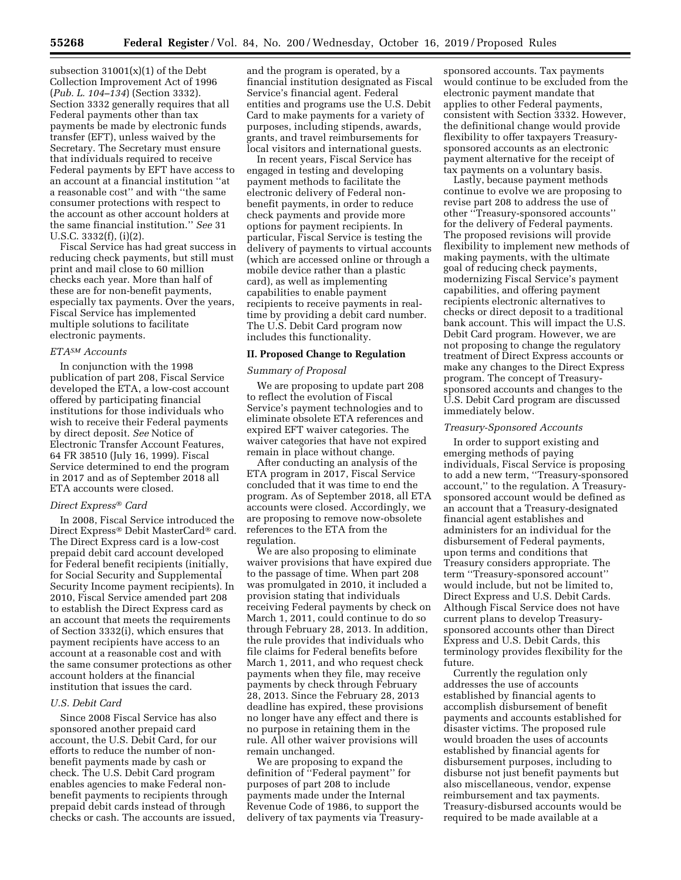subsection  $31001(x)(1)$  of the Debt Collection Improvement Act of 1996 (*Pub. L. 104–134*) (Section 3332). Section 3332 generally requires that all Federal payments other than tax payments be made by electronic funds transfer (EFT), unless waived by the Secretary. The Secretary must ensure that individuals required to receive Federal payments by EFT have access to an account at a financial institution ''at a reasonable cost'' and with ''the same consumer protections with respect to the account as other account holders at the same financial institution.'' *See* 31 U.S.C. 3332(f), (i)(2).

Fiscal Service has had great success in reducing check payments, but still must print and mail close to 60 million checks each year. More than half of these are for non-benefit payments, especially tax payments. Over the years, Fiscal Service has implemented multiple solutions to facilitate electronic payments.

### *ETASM Accounts*

In conjunction with the 1998 publication of part 208, Fiscal Service developed the ETA, a low-cost account offered by participating financial institutions for those individuals who wish to receive their Federal payments by direct deposit. *See* Notice of Electronic Transfer Account Features, 64 FR 38510 (July 16, 1999). Fiscal Service determined to end the program in 2017 and as of September 2018 all ETA accounts were closed.

### *Direct Express*® *Card*

In 2008, Fiscal Service introduced the Direct Express® Debit MasterCard® card. The Direct Express card is a low-cost prepaid debit card account developed for Federal benefit recipients (initially, for Social Security and Supplemental Security Income payment recipients). In 2010, Fiscal Service amended part 208 to establish the Direct Express card as an account that meets the requirements of Section 3332(i), which ensures that payment recipients have access to an account at a reasonable cost and with the same consumer protections as other account holders at the financial institution that issues the card.

#### *U.S. Debit Card*

Since 2008 Fiscal Service has also sponsored another prepaid card account, the U.S. Debit Card, for our efforts to reduce the number of nonbenefit payments made by cash or check. The U.S. Debit Card program enables agencies to make Federal nonbenefit payments to recipients through prepaid debit cards instead of through checks or cash. The accounts are issued,

and the program is operated, by a financial institution designated as Fiscal Service's financial agent. Federal entities and programs use the U.S. Debit Card to make payments for a variety of purposes, including stipends, awards, grants, and travel reimbursements for local visitors and international guests.

In recent years, Fiscal Service has engaged in testing and developing payment methods to facilitate the electronic delivery of Federal nonbenefit payments, in order to reduce check payments and provide more options for payment recipients. In particular, Fiscal Service is testing the delivery of payments to virtual accounts (which are accessed online or through a mobile device rather than a plastic card), as well as implementing capabilities to enable payment recipients to receive payments in realtime by providing a debit card number. The U.S. Debit Card program now includes this functionality.

### **II. Proposed Change to Regulation**

# *Summary of Proposal*

We are proposing to update part 208 to reflect the evolution of Fiscal Service's payment technologies and to eliminate obsolete ETA references and expired EFT waiver categories. The waiver categories that have not expired remain in place without change.

After conducting an analysis of the ETA program in 2017, Fiscal Service concluded that it was time to end the program. As of September 2018, all ETA accounts were closed. Accordingly, we are proposing to remove now-obsolete references to the ETA from the regulation.

We are also proposing to eliminate waiver provisions that have expired due to the passage of time. When part 208 was promulgated in 2010, it included a provision stating that individuals receiving Federal payments by check on March 1, 2011, could continue to do so through February 28, 2013. In addition, the rule provides that individuals who file claims for Federal benefits before March 1, 2011, and who request check payments when they file, may receive payments by check through February 28, 2013. Since the February 28, 2013 deadline has expired, these provisions no longer have any effect and there is no purpose in retaining them in the rule. All other waiver provisions will remain unchanged.

We are proposing to expand the definition of ''Federal payment'' for purposes of part 208 to include payments made under the Internal Revenue Code of 1986, to support the delivery of tax payments via Treasury-

sponsored accounts. Tax payments would continue to be excluded from the electronic payment mandate that applies to other Federal payments, consistent with Section 3332. However, the definitional change would provide flexibility to offer taxpayers Treasurysponsored accounts as an electronic payment alternative for the receipt of tax payments on a voluntary basis.

Lastly, because payment methods continue to evolve we are proposing to revise part 208 to address the use of other ''Treasury-sponsored accounts'' for the delivery of Federal payments. The proposed revisions will provide flexibility to implement new methods of making payments, with the ultimate goal of reducing check payments, modernizing Fiscal Service's payment capabilities, and offering payment recipients electronic alternatives to checks or direct deposit to a traditional bank account. This will impact the U.S. Debit Card program. However, we are not proposing to change the regulatory treatment of Direct Express accounts or make any changes to the Direct Express program. The concept of Treasurysponsored accounts and changes to the U.S. Debit Card program are discussed immediately below.

### *Treasury-Sponsored Accounts*

In order to support existing and emerging methods of paying individuals, Fiscal Service is proposing to add a new term, ''Treasury-sponsored account,'' to the regulation. A Treasurysponsored account would be defined as an account that a Treasury-designated financial agent establishes and administers for an individual for the disbursement of Federal payments, upon terms and conditions that Treasury considers appropriate. The term ''Treasury-sponsored account'' would include, but not be limited to, Direct Express and U.S. Debit Cards. Although Fiscal Service does not have current plans to develop Treasurysponsored accounts other than Direct Express and U.S. Debit Cards, this terminology provides flexibility for the future.

Currently the regulation only addresses the use of accounts established by financial agents to accomplish disbursement of benefit payments and accounts established for disaster victims. The proposed rule would broaden the uses of accounts established by financial agents for disbursement purposes, including to disburse not just benefit payments but also miscellaneous, vendor, expense reimbursement and tax payments. Treasury-disbursed accounts would be required to be made available at a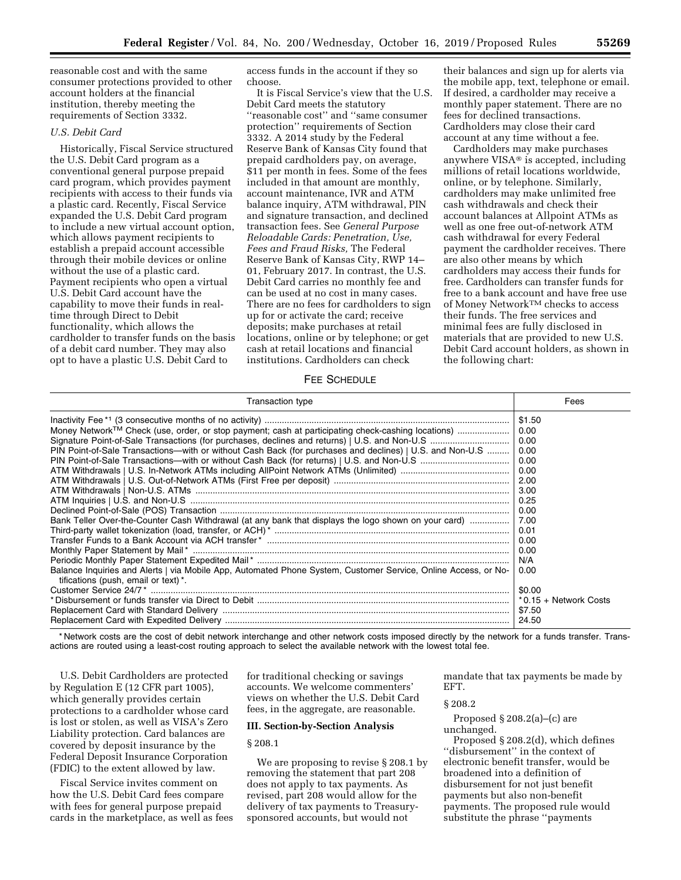reasonable cost and with the same consumer protections provided to other account holders at the financial institution, thereby meeting the requirements of Section 3332.

# *U.S. Debit Card*

Historically, Fiscal Service structured the U.S. Debit Card program as a conventional general purpose prepaid card program, which provides payment recipients with access to their funds via a plastic card. Recently, Fiscal Service expanded the U.S. Debit Card program to include a new virtual account option, which allows payment recipients to establish a prepaid account accessible through their mobile devices or online without the use of a plastic card. Payment recipients who open a virtual U.S. Debit Card account have the capability to move their funds in realtime through Direct to Debit functionality, which allows the cardholder to transfer funds on the basis of a debit card number. They may also opt to have a plastic U.S. Debit Card to

access funds in the account if they so choose.

It is Fiscal Service's view that the U.S. Debit Card meets the statutory ''reasonable cost'' and ''same consumer protection'' requirements of Section 3332. A 2014 study by the Federal Reserve Bank of Kansas City found that prepaid cardholders pay, on average, \$11 per month in fees. Some of the fees included in that amount are monthly, account maintenance, IVR and ATM balance inquiry, ATM withdrawal, PIN and signature transaction, and declined transaction fees. See *General Purpose Reloadable Cards: Penetration, Use, Fees and Fraud Risks,* The Federal Reserve Bank of Kansas City, RWP 14– 01, February 2017. In contrast, the U.S. Debit Card carries no monthly fee and can be used at no cost in many cases. There are no fees for cardholders to sign up for or activate the card; receive deposits; make purchases at retail locations, online or by telephone; or get cash at retail locations and financial institutions. Cardholders can check

their balances and sign up for alerts via the mobile app, text, telephone or email. If desired, a cardholder may receive a monthly paper statement. There are no fees for declined transactions. Cardholders may close their card account at any time without a fee.

Cardholders may make purchases anywhere VISA® is accepted, including millions of retail locations worldwide, online, or by telephone. Similarly, cardholders may make unlimited free cash withdrawals and check their account balances at Allpoint ATMs as well as one free out-of-network ATM cash withdrawal for every Federal payment the cardholder receives. There are also other means by which cardholders may access their funds for free. Cardholders can transfer funds for free to a bank account and have free use of Money NetworkTM checks to access their funds. The free services and minimal fees are fully disclosed in materials that are provided to new U.S. Debit Card account holders, as shown in the following chart:

# FEE SCHEDULE

| <b>Transaction type</b>                                                                                                                                | Fees                   |
|--------------------------------------------------------------------------------------------------------------------------------------------------------|------------------------|
|                                                                                                                                                        |                        |
|                                                                                                                                                        | 0.00                   |
|                                                                                                                                                        | 0.00                   |
| PIN Point-of-Sale Transactions—with or without Cash Back (for purchases and declines)   U.S. and Non-U.S                                               | 0.00                   |
|                                                                                                                                                        | 0.00                   |
|                                                                                                                                                        | 0.00                   |
|                                                                                                                                                        |                        |
|                                                                                                                                                        |                        |
|                                                                                                                                                        | 0.25                   |
|                                                                                                                                                        | 0.00                   |
| Bank Teller Over-the-Counter Cash Withdrawal (at any bank that displays the logo shown on your card)                                                   | 7.00                   |
|                                                                                                                                                        | 0.01                   |
|                                                                                                                                                        | 0.00                   |
|                                                                                                                                                        | 0.00                   |
|                                                                                                                                                        | N/A                    |
| Balance Inquiries and Alerts   via Mobile App, Automated Phone System, Customer Service, Online Access, or No-<br>tifications (push, email or text) *. | 0.00                   |
|                                                                                                                                                        | \$0.00                 |
|                                                                                                                                                        | * 0.15 + Network Costs |
|                                                                                                                                                        | \$7.50                 |
|                                                                                                                                                        | 24.50                  |

\* Network costs are the cost of debit network interchange and other network costs imposed directly by the network for a funds transfer. Transactions are routed using a least-cost routing approach to select the available network with the lowest total fee.

U.S. Debit Cardholders are protected by Regulation E (12 CFR part 1005), which generally provides certain protections to a cardholder whose card is lost or stolen, as well as VISA's Zero Liability protection. Card balances are covered by deposit insurance by the Federal Deposit Insurance Corporation (FDIC) to the extent allowed by law.

Fiscal Service invites comment on how the U.S. Debit Card fees compare with fees for general purpose prepaid cards in the marketplace, as well as fees for traditional checking or savings accounts. We welcome commenters' views on whether the U.S. Debit Card fees, in the aggregate, are reasonable.

# **III. Section-by-Section Analysis**

# § 208.1

We are proposing to revise § 208.1 by removing the statement that part 208 does not apply to tax payments. As revised, part 208 would allow for the delivery of tax payments to Treasurysponsored accounts, but would not

mandate that tax payments be made by EFT.

# § 208.2

Proposed § 208.2(a)–(c) are unchanged.

Proposed § 208.2(d), which defines ''disbursement'' in the context of electronic benefit transfer, would be broadened into a definition of disbursement for not just benefit payments but also non-benefit payments. The proposed rule would substitute the phrase ''payments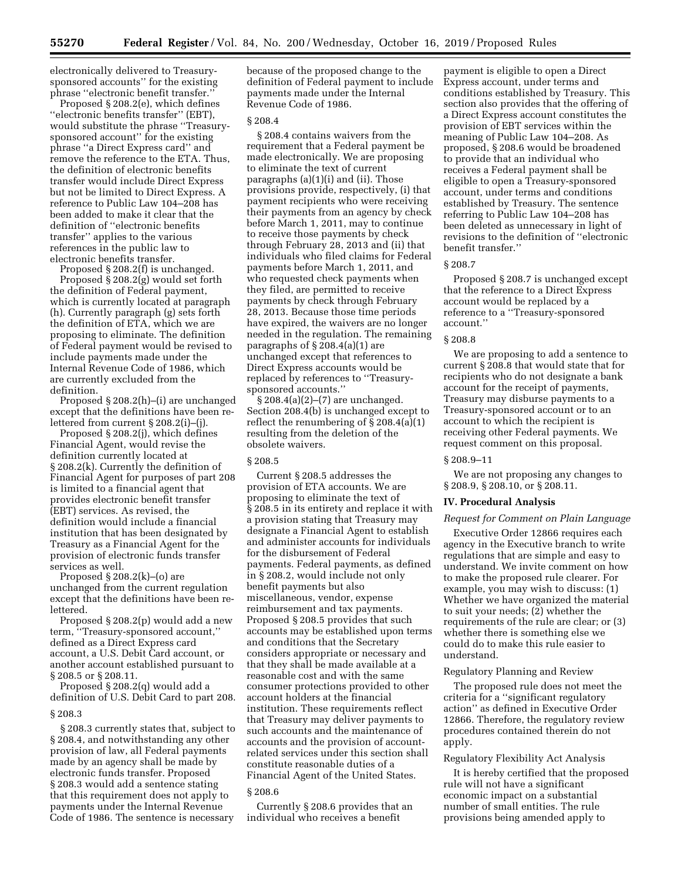electronically delivered to Treasurysponsored accounts'' for the existing phrase ''electronic benefit transfer.''

Proposed § 208.2(e), which defines ''electronic benefits transfer'' (EBT), would substitute the phrase ''Treasurysponsored account'' for the existing phrase ''a Direct Express card'' and remove the reference to the ETA. Thus, the definition of electronic benefits transfer would include Direct Express but not be limited to Direct Express. A reference to Public Law 104–208 has been added to make it clear that the definition of ''electronic benefits transfer'' applies to the various references in the public law to electronic benefits transfer.

Proposed § 208.2(f) is unchanged. Proposed § 208.2(g) would set forth the definition of Federal payment, which is currently located at paragraph (h). Currently paragraph (g) sets forth the definition of ETA, which we are proposing to eliminate. The definition of Federal payment would be revised to include payments made under the Internal Revenue Code of 1986, which are currently excluded from the definition.

Proposed § 208.2(h)–(i) are unchanged except that the definitions have been relettered from current § 208.2(i)–(j).

Proposed § 208.2(j), which defines Financial Agent, would revise the definition currently located at § 208.2(k). Currently the definition of Financial Agent for purposes of part 208 is limited to a financial agent that provides electronic benefit transfer (EBT) services. As revised, the definition would include a financial institution that has been designated by Treasury as a Financial Agent for the provision of electronic funds transfer services as well.

Proposed  $\S 208.2(k)$ –(o) are unchanged from the current regulation except that the definitions have been relettered.

Proposed § 208.2(p) would add a new term, ''Treasury-sponsored account,'' defined as a Direct Express card account, a U.S. Debit Card account, or another account established pursuant to § 208.5 or § 208.11.

Proposed § 208.2(q) would add a definition of U.S. Debit Card to part 208.

#### § 208.3

§ 208.3 currently states that, subject to § 208.4, and notwithstanding any other provision of law, all Federal payments made by an agency shall be made by electronic funds transfer. Proposed § 208.3 would add a sentence stating that this requirement does not apply to payments under the Internal Revenue Code of 1986. The sentence is necessary

because of the proposed change to the definition of Federal payment to include payments made under the Internal Revenue Code of 1986.

### § 208.4

§ 208.4 contains waivers from the requirement that a Federal payment be made electronically. We are proposing to eliminate the text of current paragraphs (a)(1)(i) and (ii). Those provisions provide, respectively, (i) that payment recipients who were receiving their payments from an agency by check before March 1, 2011, may to continue to receive those payments by check through February 28, 2013 and (ii) that individuals who filed claims for Federal payments before March 1, 2011, and who requested check payments when they filed, are permitted to receive payments by check through February 28, 2013. Because those time periods have expired, the waivers are no longer needed in the regulation. The remaining paragraphs of § 208.4(a)(1) are unchanged except that references to Direct Express accounts would be replaced by references to ''Treasurysponsored accounts.''

§ 208.4(a)(2)–(7) are unchanged. Section 208.4(b) is unchanged except to reflect the renumbering of § 208.4(a)(1) resulting from the deletion of the obsolete waivers.

# § 208.5

Current § 208.5 addresses the provision of ETA accounts. We are proposing to eliminate the text of § 208.5 in its entirety and replace it with a provision stating that Treasury may designate a Financial Agent to establish and administer accounts for individuals for the disbursement of Federal payments. Federal payments, as defined in § 208.2, would include not only benefit payments but also miscellaneous, vendor, expense reimbursement and tax payments. Proposed § 208.5 provides that such accounts may be established upon terms and conditions that the Secretary considers appropriate or necessary and that they shall be made available at a reasonable cost and with the same consumer protections provided to other account holders at the financial institution. These requirements reflect that Treasury may deliver payments to such accounts and the maintenance of accounts and the provision of accountrelated services under this section shall constitute reasonable duties of a Financial Agent of the United States.

# § 208.6

Currently § 208.6 provides that an individual who receives a benefit

payment is eligible to open a Direct Express account, under terms and conditions established by Treasury. This section also provides that the offering of a Direct Express account constitutes the provision of EBT services within the meaning of Public Law 104–208. As proposed, § 208.6 would be broadened to provide that an individual who receives a Federal payment shall be eligible to open a Treasury-sponsored account, under terms and conditions established by Treasury. The sentence referring to Public Law 104–208 has been deleted as unnecessary in light of revisions to the definition of ''electronic benefit transfer.''

#### § 208.7

Proposed § 208.7 is unchanged except that the reference to a Direct Express account would be replaced by a reference to a ''Treasury-sponsored account.''

### § 208.8

We are proposing to add a sentence to current § 208.8 that would state that for recipients who do not designate a bank account for the receipt of payments, Treasury may disburse payments to a Treasury-sponsored account or to an account to which the recipient is receiving other Federal payments. We request comment on this proposal.

#### § 208.9–11

We are not proposing any changes to § 208.9, § 208.10, or § 208.11.

### **IV. Procedural Analysis**

### *Request for Comment on Plain Language*

Executive Order 12866 requires each agency in the Executive branch to write regulations that are simple and easy to understand. We invite comment on how to make the proposed rule clearer. For example, you may wish to discuss: (1) Whether we have organized the material to suit your needs; (2) whether the requirements of the rule are clear; or (3) whether there is something else we could do to make this rule easier to understand.

# Regulatory Planning and Review

The proposed rule does not meet the criteria for a ''significant regulatory action'' as defined in Executive Order 12866. Therefore, the regulatory review procedures contained therein do not apply.

#### Regulatory Flexibility Act Analysis

It is hereby certified that the proposed rule will not have a significant economic impact on a substantial number of small entities. The rule provisions being amended apply to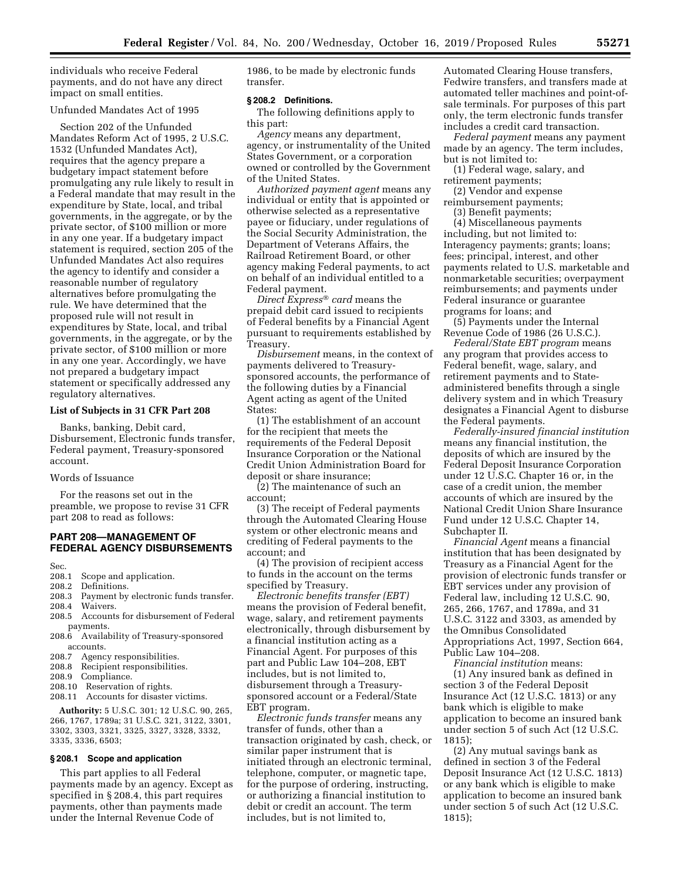individuals who receive Federal payments, and do not have any direct impact on small entities.

### Unfunded Mandates Act of 1995

Section 202 of the Unfunded Mandates Reform Act of 1995, 2 U.S.C. 1532 (Unfunded Mandates Act), requires that the agency prepare a budgetary impact statement before promulgating any rule likely to result in a Federal mandate that may result in the expenditure by State, local, and tribal governments, in the aggregate, or by the private sector, of \$100 million or more in any one year. If a budgetary impact statement is required, section 205 of the Unfunded Mandates Act also requires the agency to identify and consider a reasonable number of regulatory alternatives before promulgating the rule. We have determined that the proposed rule will not result in expenditures by State, local, and tribal governments, in the aggregate, or by the private sector, of \$100 million or more in any one year. Accordingly, we have not prepared a budgetary impact statement or specifically addressed any regulatory alternatives.

## **List of Subjects in 31 CFR Part 208**

Banks, banking, Debit card, Disbursement, Electronic funds transfer, Federal payment, Treasury-sponsored account.

# Words of Issuance

For the reasons set out in the preamble, we propose to revise 31 CFR part 208 to read as follows:

# **PART 208—MANAGEMENT OF FEDERAL AGENCY DISBURSEMENTS**

- Sec.<br>208.1 208.1 Scope and application.<br>208.2 Definitions.
- 208.2 Definitions.<br>208.3 Payment by
- 208.3 Payment by electronic funds transfer.<br>208.4 Waivers.
- Waivers.
- 208.5 Accounts for disbursement of Federal payments.
- 208.6 Availability of Treasury-sponsored accounts.<br>208.7 Agenc
- Agency responsibilities.
- 208.8 Recipient responsibilities.
- 208.9 Compliance.
- 208.10 Reservation of rights.
- 208.11 Accounts for disaster victims.

**Authority:** 5 U.S.C. 301; 12 U.S.C. 90, 265, 266, 1767, 1789a; 31 U.S.C. 321, 3122, 3301, 3302, 3303, 3321, 3325, 3327, 3328, 3332, 3335, 3336, 6503;

#### **§ 208.1 Scope and application**

This part applies to all Federal payments made by an agency. Except as specified in § 208.4, this part requires payments, other than payments made under the Internal Revenue Code of

1986, to be made by electronic funds transfer.

### **§ 208.2 Definitions.**

The following definitions apply to this part:

*Agency* means any department, agency, or instrumentality of the United States Government, or a corporation owned or controlled by the Government of the United States.

*Authorized payment agent* means any individual or entity that is appointed or otherwise selected as a representative payee or fiduciary, under regulations of the Social Security Administration, the Department of Veterans Affairs, the Railroad Retirement Board, or other agency making Federal payments, to act on behalf of an individual entitled to a Federal payment.

*Direct Express*® *card* means the prepaid debit card issued to recipients of Federal benefits by a Financial Agent pursuant to requirements established by Treasury.

*Disbursement* means, in the context of payments delivered to Treasurysponsored accounts, the performance of the following duties by a Financial Agent acting as agent of the United States:

(1) The establishment of an account for the recipient that meets the requirements of the Federal Deposit Insurance Corporation or the National Credit Union Administration Board for deposit or share insurance;

(2) The maintenance of such an account;

(3) The receipt of Federal payments through the Automated Clearing House system or other electronic means and crediting of Federal payments to the account; and

(4) The provision of recipient access to funds in the account on the terms specified by Treasury.

*Electronic benefits transfer (EBT)*  means the provision of Federal benefit, wage, salary, and retirement payments electronically, through disbursement by a financial institution acting as a Financial Agent. For purposes of this part and Public Law 104–208, EBT includes, but is not limited to, disbursement through a Treasurysponsored account or a Federal/State EBT program.

*Electronic funds transfer* means any transfer of funds, other than a transaction originated by cash, check, or similar paper instrument that is initiated through an electronic terminal, telephone, computer, or magnetic tape, for the purpose of ordering, instructing, or authorizing a financial institution to debit or credit an account. The term includes, but is not limited to,

Automated Clearing House transfers, Fedwire transfers, and transfers made at automated teller machines and point-ofsale terminals. For purposes of this part only, the term electronic funds transfer includes a credit card transaction.

*Federal payment* means any payment made by an agency. The term includes, but is not limited to:

- (1) Federal wage, salary, and retirement payments;
- (2) Vendor and expense reimbursement payments;

(3) Benefit payments;

(4) Miscellaneous payments including, but not limited to: Interagency payments; grants; loans; fees; principal, interest, and other payments related to U.S. marketable and nonmarketable securities; overpayment reimbursements; and payments under Federal insurance or guarantee programs for loans; and

(5) Payments under the Internal Revenue Code of 1986 (26 U.S.C.).

*Federal/State EBT program* means any program that provides access to Federal benefit, wage, salary, and retirement payments and to Stateadministered benefits through a single delivery system and in which Treasury designates a Financial Agent to disburse the Federal payments.

*Federally-insured financial institution*  means any financial institution, the deposits of which are insured by the Federal Deposit Insurance Corporation under 12 U.S.C. Chapter 16 or, in the case of a credit union, the member accounts of which are insured by the National Credit Union Share Insurance Fund under 12 U.S.C. Chapter 14, Subchapter II.

*Financial Agent* means a financial institution that has been designated by Treasury as a Financial Agent for the provision of electronic funds transfer or EBT services under any provision of Federal law, including 12 U.S.C. 90, 265, 266, 1767, and 1789a, and 31 U.S.C. 3122 and 3303, as amended by the Omnibus Consolidated Appropriations Act, 1997, Section 664, Public Law 104–208.

*Financial institution* means: (1) Any insured bank as defined in section 3 of the Federal Deposit Insurance Act (12 U.S.C. 1813) or any bank which is eligible to make application to become an insured bank under section 5 of such Act (12 U.S.C. 1815);

(2) Any mutual savings bank as defined in section 3 of the Federal Deposit Insurance Act (12 U.S.C. 1813) or any bank which is eligible to make application to become an insured bank under section 5 of such Act (12 U.S.C. 1815);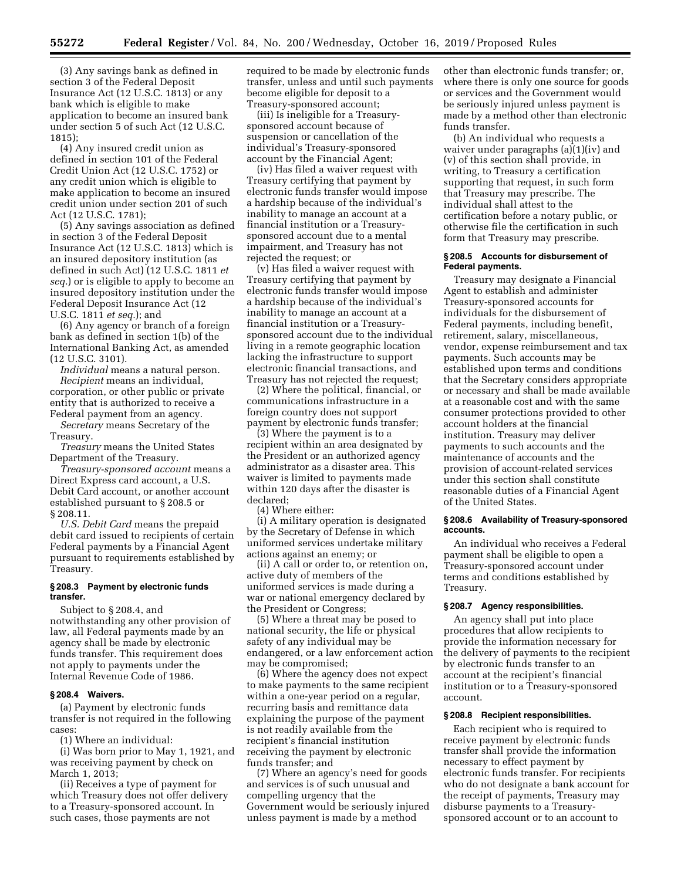(3) Any savings bank as defined in section 3 of the Federal Deposit Insurance Act (12 U.S.C. 1813) or any bank which is eligible to make application to become an insured bank under section 5 of such Act (12 U.S.C.  $1815$ 

(4) Any insured credit union as defined in section 101 of the Federal Credit Union Act (12 U.S.C. 1752) or any credit union which is eligible to make application to become an insured credit union under section 201 of such Act (12 U.S.C. 1781);

(5) Any savings association as defined in section 3 of the Federal Deposit Insurance Act (12 U.S.C. 1813) which is an insured depository institution (as defined in such Act) (12 U.S.C. 1811 *et seq.*) or is eligible to apply to become an insured depository institution under the Federal Deposit Insurance Act (12 U.S.C. 1811 *et seq.*); and

(6) Any agency or branch of a foreign bank as defined in section 1(b) of the International Banking Act, as amended (12 U.S.C. 3101).

*Individual* means a natural person. *Recipient* means an individual, corporation, or other public or private entity that is authorized to receive a Federal payment from an agency.

*Secretary* means Secretary of the Treasury.

*Treasury* means the United States Department of the Treasury.

*Treasury-sponsored account* means a Direct Express card account, a U.S. Debit Card account, or another account established pursuant to § 208.5 or § 208.11.

*U.S. Debit Card* means the prepaid debit card issued to recipients of certain Federal payments by a Financial Agent pursuant to requirements established by Treasury.

### **§ 208.3 Payment by electronic funds transfer.**

Subject to § 208.4, and notwithstanding any other provision of law, all Federal payments made by an agency shall be made by electronic funds transfer. This requirement does not apply to payments under the Internal Revenue Code of 1986.

# **§ 208.4 Waivers.**

(a) Payment by electronic funds transfer is not required in the following cases:

(1) Where an individual:

(i) Was born prior to May 1, 1921, and was receiving payment by check on March 1, 2013;

(ii) Receives a type of payment for which Treasury does not offer delivery to a Treasury-sponsored account. In such cases, those payments are not

required to be made by electronic funds transfer, unless and until such payments become eligible for deposit to a Treasury-sponsored account;

(iii) Is ineligible for a Treasurysponsored account because of suspension or cancellation of the individual's Treasury-sponsored account by the Financial Agent;

(iv) Has filed a waiver request with Treasury certifying that payment by electronic funds transfer would impose a hardship because of the individual's inability to manage an account at a financial institution or a Treasurysponsored account due to a mental impairment, and Treasury has not rejected the request; or

(v) Has filed a waiver request with Treasury certifying that payment by electronic funds transfer would impose a hardship because of the individual's inability to manage an account at a financial institution or a Treasurysponsored account due to the individual living in a remote geographic location lacking the infrastructure to support electronic financial transactions, and Treasury has not rejected the request;

(2) Where the political, financial, or communications infrastructure in a foreign country does not support payment by electronic funds transfer;

(3) Where the payment is to a recipient within an area designated by the President or an authorized agency administrator as a disaster area. This waiver is limited to payments made within 120 days after the disaster is declared;

(4) Where either:

(i) A military operation is designated by the Secretary of Defense in which uniformed services undertake military actions against an enemy; or

(ii) A call or order to, or retention on, active duty of members of the uniformed services is made during a war or national emergency declared by the President or Congress;

(5) Where a threat may be posed to national security, the life or physical safety of any individual may be endangered, or a law enforcement action may be compromised;

(6) Where the agency does not expect to make payments to the same recipient within a one-year period on a regular, recurring basis and remittance data explaining the purpose of the payment is not readily available from the recipient's financial institution receiving the payment by electronic funds transfer; and

(7) Where an agency's need for goods and services is of such unusual and compelling urgency that the Government would be seriously injured unless payment is made by a method

other than electronic funds transfer; or, where there is only one source for goods or services and the Government would be seriously injured unless payment is made by a method other than electronic funds transfer.

(b) An individual who requests a waiver under paragraphs (a)(1)(iv) and (v) of this section shall provide, in writing, to Treasury a certification supporting that request, in such form that Treasury may prescribe. The individual shall attest to the certification before a notary public, or otherwise file the certification in such form that Treasury may prescribe.

#### **§ 208.5 Accounts for disbursement of Federal payments.**

Treasury may designate a Financial Agent to establish and administer Treasury-sponsored accounts for individuals for the disbursement of Federal payments, including benefit, retirement, salary, miscellaneous, vendor, expense reimbursement and tax payments. Such accounts may be established upon terms and conditions that the Secretary considers appropriate or necessary and shall be made available at a reasonable cost and with the same consumer protections provided to other account holders at the financial institution. Treasury may deliver payments to such accounts and the maintenance of accounts and the provision of account-related services under this section shall constitute reasonable duties of a Financial Agent of the United States.

# **§ 208.6 Availability of Treasury-sponsored accounts.**

An individual who receives a Federal payment shall be eligible to open a Treasury-sponsored account under terms and conditions established by Treasury.

### **§ 208.7 Agency responsibilities.**

An agency shall put into place procedures that allow recipients to provide the information necessary for the delivery of payments to the recipient by electronic funds transfer to an account at the recipient's financial institution or to a Treasury-sponsored account.

### **§ 208.8 Recipient responsibilities.**

Each recipient who is required to receive payment by electronic funds transfer shall provide the information necessary to effect payment by electronic funds transfer. For recipients who do not designate a bank account for the receipt of payments, Treasury may disburse payments to a Treasurysponsored account or to an account to